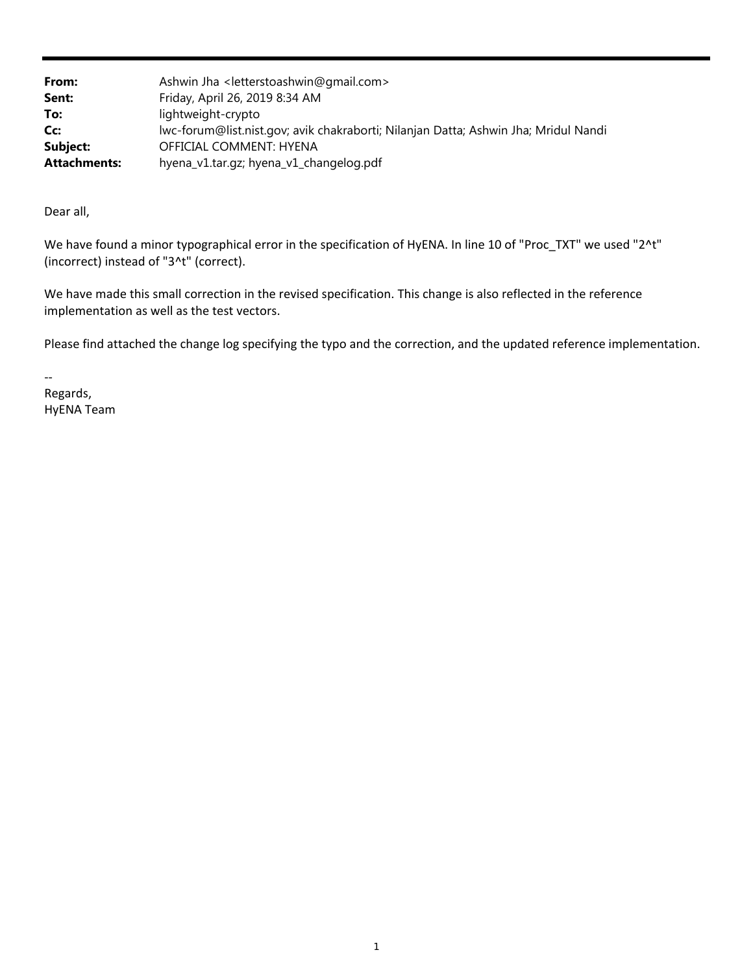| From:               | Ashwin Jha <letterstoashwin@gmail.com></letterstoashwin@gmail.com>                  |
|---------------------|-------------------------------------------------------------------------------------|
| Sent:               | Friday, April 26, 2019 8:34 AM                                                      |
| To:                 | lightweight-crypto                                                                  |
| Cc:                 | Iwc-forum@list.nist.gov; avik chakraborti; Nilanjan Datta; Ashwin Jha; Mridul Nandi |
| Subject:            | OFFICIAL COMMENT: HYENA                                                             |
| <b>Attachments:</b> | hyena_v1.tar.gz; hyena_v1_changelog.pdf                                             |

Dear all,

 We have found a minor typographical error in the specification of HyENA. In line 10 of "Proc\_TXT" we used "2^t" (incorrect) instead of "3^t" (correct).

 We have made this small correction in the revised specification. This change is also reflected in the reference implementation as well as the test vectors.

Please find attached the change log specifying the typo and the correction, and the updated reference implementation.

 HyENA Team Regards,

‐‐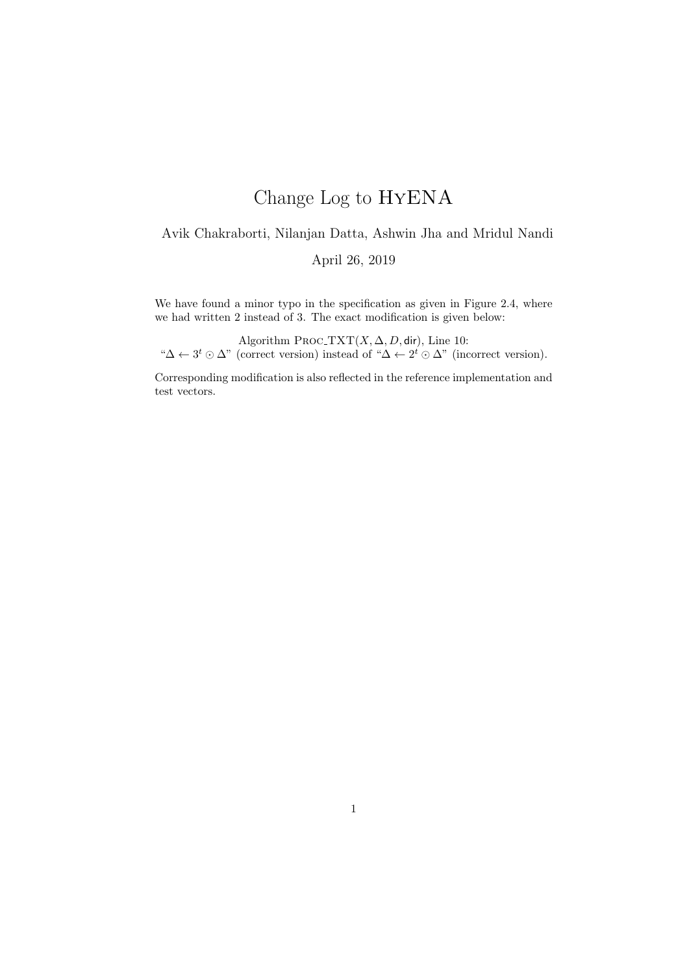# Change Log to HyENA

## Avik Chakraborti, Nilanjan Datta, Ashwin Jha and Mridul Nandi

#### April 26, 2019

We have found a minor typo in the specification as given in Figure 2.4, where we had written 2 instead of 3. The exact modification is given below:

Algorithm  $PROC-TXT(X, \Delta, D, \text{dir}),$  Line 10: " $\Delta \leftarrow 3^t \odot \Delta$ " (correct version) instead of " $\Delta \leftarrow 2^t \odot \Delta$ " (incorrect version).

Corresponding modification is also reflected in the reference implementation and test vectors.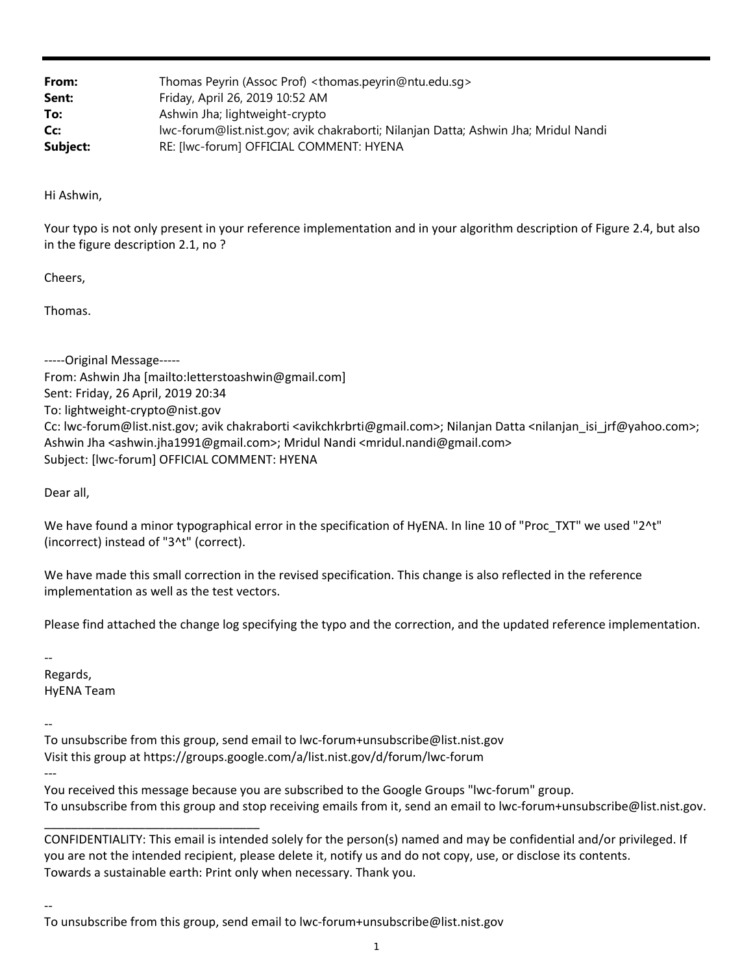| From:    | Thomas Peyrin (Assoc Prof) <thomas.peyrin@ntu.edu.sq></thomas.peyrin@ntu.edu.sq>    |
|----------|-------------------------------------------------------------------------------------|
| Sent:    | Friday, April 26, 2019 10:52 AM                                                     |
| To:      | Ashwin Jha; lightweight-crypto                                                      |
| Cc:      | Iwc-forum@list.nist.gov; avik chakraborti; Nilanjan Datta; Ashwin Jha; Mridul Nandi |
| Subject: | RE: [Iwc-forum] OFFICIAL COMMENT: HYENA                                             |

Hi Ashwin,

 Your typo is not only present in your reference implementation and in your algorithm description of Figure 2.4, but also in the figure description 2.1, no ?

Cheers,

Thomas.

‐‐‐‐‐Original Message‐‐‐‐‐

 From: Ashwin Jha [mailto:letterstoashwin@gmail.com] Sent: Friday, 26 April, 2019 20:34 Cc: lwc‐forum@list.nist.gov; avik chakraborti <avikchkrbrti@gmail.com>; Nilanjan Datta <nilanjan\_isi\_jrf@yahoo.com>; Ashwin Jha <ashwin.jha1991@gmail.com>; Mridul Nandi <mridul.nandi@gmail.com> Subject: [lwc‐forum] OFFICIAL COMMENT: HYENA To: lightweight‐crypto@nist.gov

Dear all,

 We have found a minor typographical error in the specification of HyENA. In line 10 of "Proc\_TXT" we used "2^t" (incorrect) instead of "3^t" (correct).

 We have made this small correction in the revised specification. This change is also reflected in the reference implementation as well as the test vectors.

Please find attached the change log specifying the typo and the correction, and the updated reference implementation.

‐‐ HyENA Team Regards,

\_\_\_\_\_\_\_\_\_\_\_\_\_\_\_\_\_\_\_\_\_\_\_\_\_\_\_\_\_\_\_\_

‐‐

 To unsubscribe from this group, send email to lwc‐forum+unsubscribe@list.nist.gov Visit this group at https://groups.google.com/a/list.nist.gov/d/forum/lwc‐forum ‐‐‐

 You received this message because you are subscribed to the Google Groups "lwc‐forum" group. To unsubscribe from this group and stop receiving emails from it, send an email to lwc‐forum+unsubscribe@list.nist.gov.

 CONFIDENTIALITY: This email is intended solely for the person(s) named and may be confidential and/or privileged. If you are not the intended recipient, please delete it, notify us and do not copy, use, or disclose its contents. Towards a sustainable earth: Print only when necessary. Thank you.

‐‐

To unsubscribe from this group, send email to lwc‐forum+unsubscribe@list.nist.gov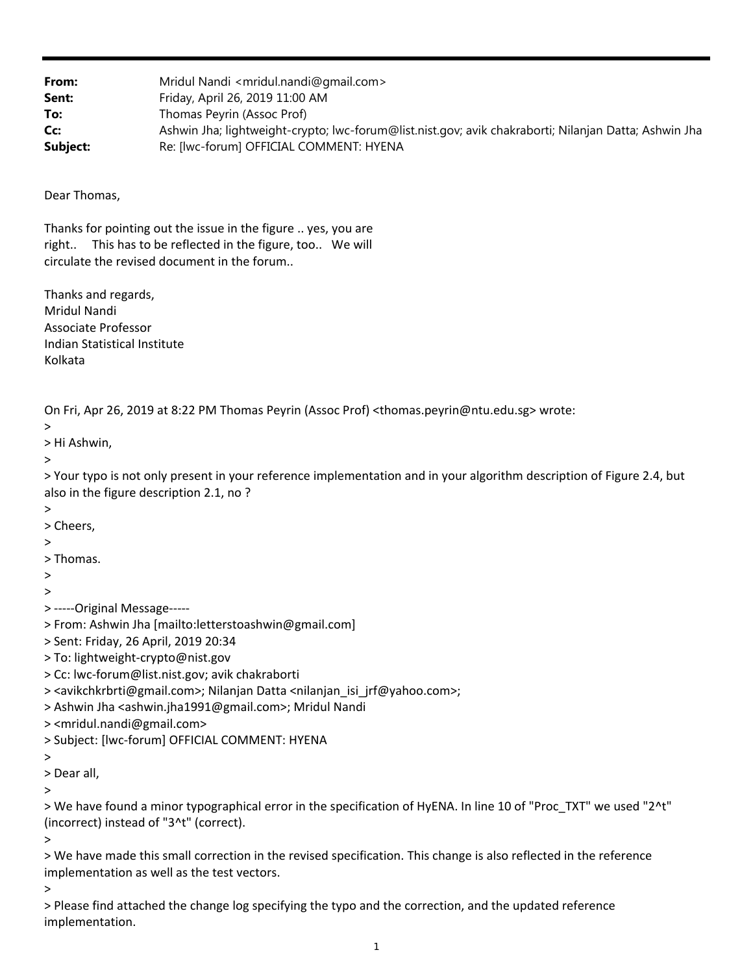| From:<br>Sent:<br>To:<br>Cc:<br>Subject:                                                                                                                                                                                                                                                                                                                                                                                                                                                                                                                         | Mridul Nandi <mridul.nandi@gmail.com><br/>Friday, April 26, 2019 11:00 AM<br/>Thomas Peyrin (Assoc Prof)<br/>Ashwin Jha; lightweight-crypto; lwc-forum@list.nist.gov; avik chakraborti; Nilanjan Datta; Ashwin Jha<br/>Re: [lwc-forum] OFFICIAL COMMENT: HYENA</mridul.nandi@gmail.com> |  |
|------------------------------------------------------------------------------------------------------------------------------------------------------------------------------------------------------------------------------------------------------------------------------------------------------------------------------------------------------------------------------------------------------------------------------------------------------------------------------------------------------------------------------------------------------------------|-----------------------------------------------------------------------------------------------------------------------------------------------------------------------------------------------------------------------------------------------------------------------------------------|--|
| Dear Thomas,                                                                                                                                                                                                                                                                                                                                                                                                                                                                                                                                                     |                                                                                                                                                                                                                                                                                         |  |
| right                                                                                                                                                                                                                                                                                                                                                                                                                                                                                                                                                            | Thanks for pointing out the issue in the figure  yes, you are<br>This has to be reflected in the figure, too We will<br>circulate the revised document in the forum                                                                                                                     |  |
| Thanks and regards,<br><b>Mridul Nandi</b><br><b>Associate Professor</b><br>Indian Statistical Institute<br>Kolkata                                                                                                                                                                                                                                                                                                                                                                                                                                              |                                                                                                                                                                                                                                                                                         |  |
| $\,>\,$<br>> Hi Ashwin,<br>><br>also in the figure description 2.1, no?<br>$\,>\,$                                                                                                                                                                                                                                                                                                                                                                                                                                                                               | On Fri, Apr 26, 2019 at 8:22 PM Thomas Peyrin (Assoc Prof) <thomas.peyrin@ntu.edu.sg> wrote:<br/>&gt; Your typo is not only present in your reference implementation and in your algorithm description of Figure 2.4, but</thomas.peyrin@ntu.edu.sg>                                    |  |
| > Cheers,<br>>                                                                                                                                                                                                                                                                                                                                                                                                                                                                                                                                                   |                                                                                                                                                                                                                                                                                         |  |
| > Thomas.<br>><br>>                                                                                                                                                                                                                                                                                                                                                                                                                                                                                                                                              |                                                                                                                                                                                                                                                                                         |  |
| > -----Original Message-----<br>> From: Ashwin Jha [mailto:letterstoashwin@gmail.com]<br>> Sent: Friday, 26 April, 2019 20:34<br>> To: lightweight-crypto@nist.gov<br>> Cc: lwc-forum@list.nist.gov; avik chakraborti<br>> <avikchkrbrti@gmail.com>; Nilanjan Datta <nilanjan_isi_jrf@yahoo.com>;<br/>&gt; Ashwin Jha <ashwin.jha1991@gmail.com>; Mridul Nandi<br/>&gt; <mridul.nandi@gmail.com><br/>&gt; Subject: [lwc-forum] OFFICIAL COMMENT: HYENA</mridul.nandi@gmail.com></ashwin.jha1991@gmail.com></nilanjan_isi_jrf@yahoo.com></avikchkrbrti@gmail.com> |                                                                                                                                                                                                                                                                                         |  |
| ><br>> Dear all,                                                                                                                                                                                                                                                                                                                                                                                                                                                                                                                                                 |                                                                                                                                                                                                                                                                                         |  |
| ><br>(incorrect) instead of "3^t" (correct).<br>$\geq$                                                                                                                                                                                                                                                                                                                                                                                                                                                                                                           | > We have found a minor typographical error in the specification of HyENA. In line 10 of "Proc_TXT" we used "2^t"                                                                                                                                                                       |  |
| ⋗                                                                                                                                                                                                                                                                                                                                                                                                                                                                                                                                                                | > We have made this small correction in the revised specification. This change is also reflected in the reference<br>implementation as well as the test vectors.                                                                                                                        |  |

 > Please find attached the change log specifying the typo and the correction, and the updated reference implementation.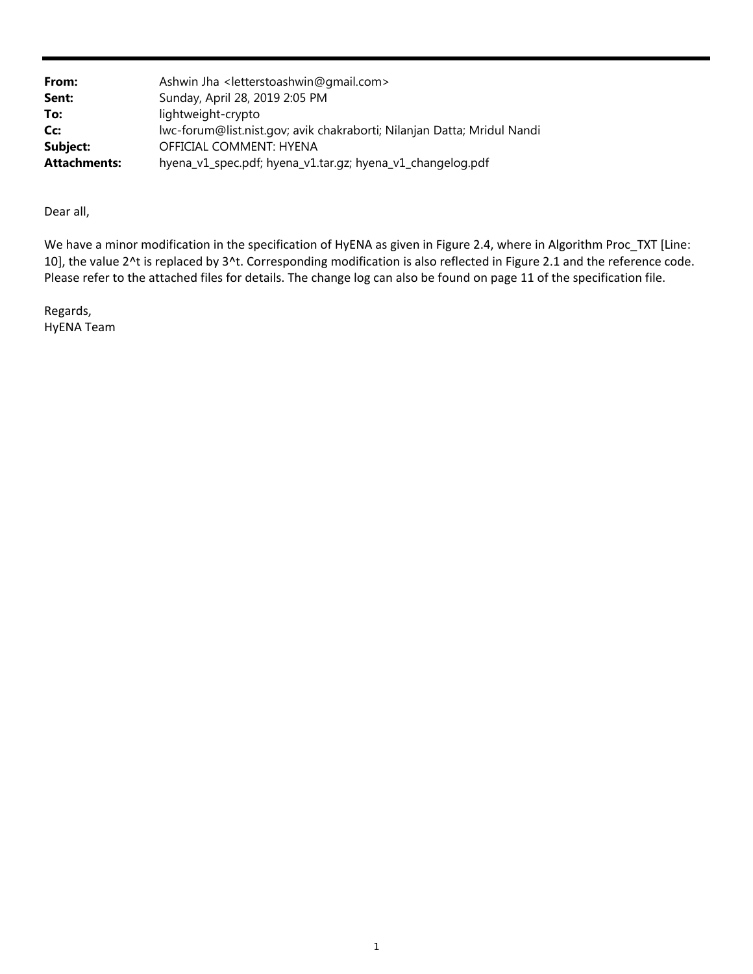| From:               | Ashwin Jha <letterstoashwin@gmail.com></letterstoashwin@gmail.com>      |
|---------------------|-------------------------------------------------------------------------|
| Sent:               | Sunday, April 28, 2019 2:05 PM                                          |
| To:                 | lightweight-crypto                                                      |
| Cc:                 | Iwc-forum@list.nist.gov; avik chakraborti; Nilanjan Datta; Mridul Nandi |
| Subject:            | OFFICIAL COMMENT: HYENA                                                 |
| <b>Attachments:</b> | hyena_v1_spec.pdf; hyena_v1.tar.gz; hyena_v1_changelog.pdf              |

Dear all,

We have a minor modification in the specification of HyENA as given in Figure 2.4, where in Algorithm Proc\_TXT [Line: 10], the value 2^t is replaced by 3^t. Corresponding modification is also reflected in Figure 2.1 and the reference code. Please refer to the attached files for details. The change log can also be found on page 11 of the specification file.

Regards, HyENA Team